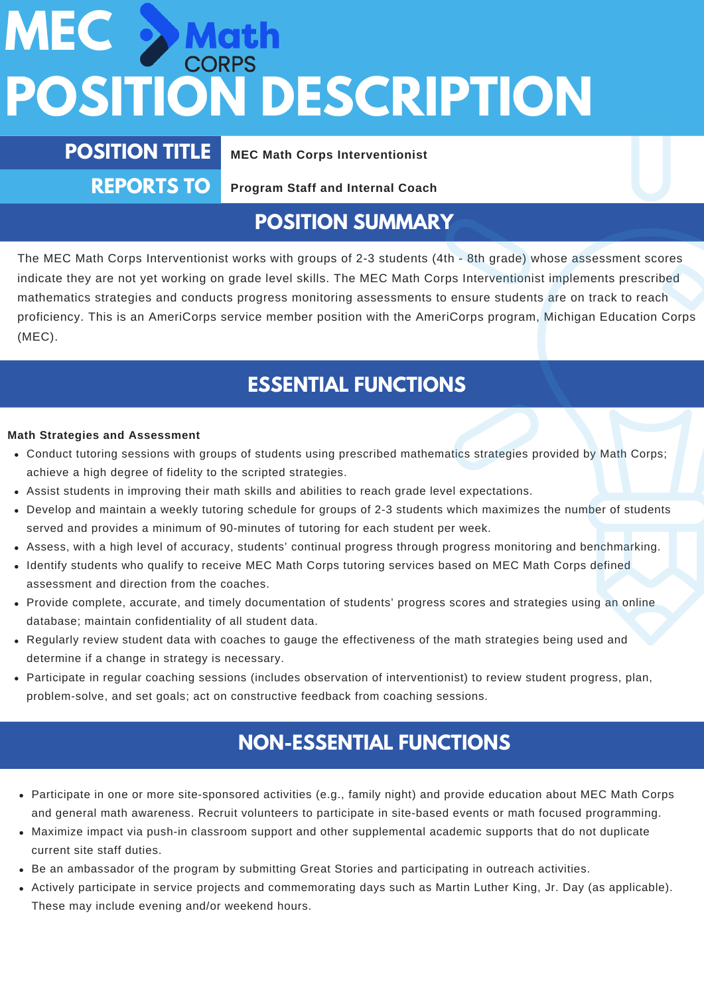## MEC > Mat **POSITION DESCRIPTION**

**POSITION TITLE MEC Math Corps Interventionist**

**REPORTS TO**

**Program Staff and Internal Coach**

### **POSITION SUMMARY**

The MEC Math Corps Interventionist works with groups of 2-3 students (4th - 8th grade) whose assessment scores indicate they are not yet working on grade level skills. The MEC Math Corps Interventionist implements prescribed mathematics strategies and conducts progress monitoring assessments to ensure students are on track to reach proficiency. This is an AmeriCorps service member position with the AmeriCorps program, Michigan Education Corps (MEC).

## **ESSENTIAL FUNCTIONS**

### **Math Strategies and Assessment**

- Conduct tutoring sessions with groups of students using prescribed mathematics strategies provided by Math Corps; achieve a high degree of fidelity to the scripted strategies.
- Assist students in improving their math skills and abilities to reach grade level expectations.
- Develop and maintain a weekly tutoring schedule for groups of 2-3 students which maximizes the number of students served and provides a minimum of 90-minutes of tutoring for each student per week.
- Assess, with a high level of accuracy, students' continual progress through progress monitoring and benchmarking.
- Identify students who qualify to receive MEC Math Corps tutoring services based on MEC Math Corps defined assessment and direction from the coaches.
- Provide complete, accurate, and timely documentation of students' progress scores and strategies using an online database; maintain confidentiality of all student data.
- Regularly review student data with coaches to gauge the effectiveness of the math strategies being used and determine if a change in strategy is necessary.
- Participate in regular coaching sessions (includes observation of interventionist) to review student progress, plan, problem-solve, and set goals; act on constructive feedback from coaching sessions.

### **NON-ESSENTIAL FUNCTIONS**

- Participate in one or more site-sponsored activities (e.g., family night) and provide education about MEC Math Corps and general math awareness. Recruit volunteers to participate in site-based events or math focused programming.
- Maximize impact via push-in classroom support and other supplemental academic supports that do not duplicate current site staff duties.
- Be an ambassador of the program by submitting Great Stories and participating in outreach activities.
- Actively participate in service projects and commemorating days such as Martin Luther King, Jr. Day (as applicable). These may include evening and/or weekend hours.